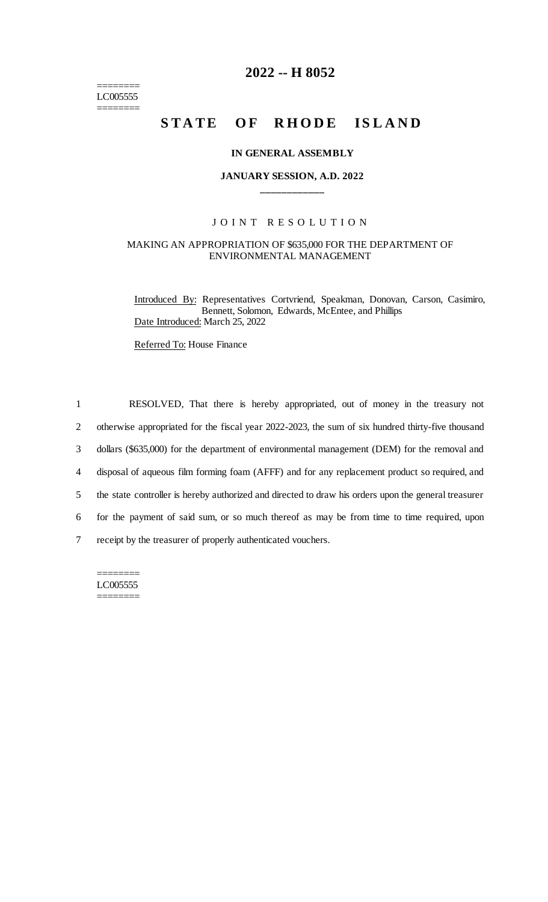======== LC005555 ========

# **2022 -- H 8052**

# **STATE OF RHODE ISLAND**

#### **IN GENERAL ASSEMBLY**

## **JANUARY SESSION, A.D. 2022 \_\_\_\_\_\_\_\_\_\_\_\_**

#### JOINT RESOLUTION

#### MAKING AN APPROPRIATION OF \$635,000 FOR THE DEPARTMENT OF ENVIRONMENTAL MANAGEMENT

Introduced By: Representatives Cortvriend, Speakman, Donovan, Carson, Casimiro, Bennett, Solomon, Edwards, McEntee, and Phillips Date Introduced: March 25, 2022

Referred To: House Finance

 RESOLVED, That there is hereby appropriated, out of money in the treasury not otherwise appropriated for the fiscal year 2022-2023, the sum of six hundred thirty-five thousand dollars (\$635,000) for the department of environmental management (DEM) for the removal and disposal of aqueous film forming foam (AFFF) and for any replacement product so required, and the state controller is hereby authorized and directed to draw his orders upon the general treasurer for the payment of said sum, or so much thereof as may be from time to time required, upon receipt by the treasurer of properly authenticated vouchers.

======== LC005555 ========